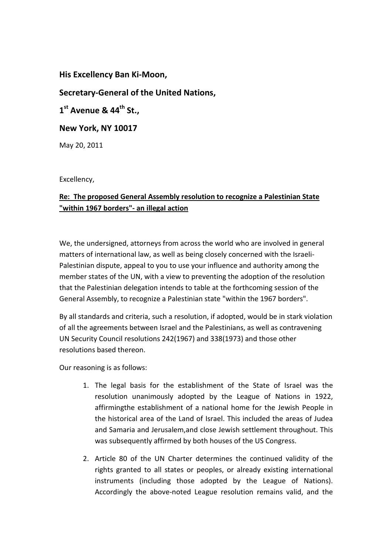## **His Excellency Ban Ki-Moon,**

## **Secretary-General of the United Nations,**

**1 st Avenue & 44th St.,** 

**New York, NY 10017** 

May 20, 2011

Excellency,

## **Re: The proposed General Assembly resolution to recognize a Palestinian State "within 1967 borders"- an illegal action**

We, the undersigned, attorneys from across the world who are involved in general matters of international law, as well as being closely concerned with the Israeli-Palestinian dispute, appeal to you to use your influence and authority among the member states of the UN, with a view to preventing the adoption of the resolution that the Palestinian delegation intends to table at the forthcoming session of the General Assembly, to recognize a Palestinian state "within the 1967 borders".

By all standards and criteria, such a resolution, if adopted, would be in stark violation of all the agreements between Israel and the Palestinians, as well as contravening UN Security Council resolutions 242(1967) and 338(1973) and those other resolutions based thereon.

Our reasoning is as follows:

- 1. The legal basis for the establishment of the State of Israel was the resolution unanimously adopted by the League of Nations in 1922, affirmingthe establishment of a national home for the Jewish People in the historical area of the Land of Israel. This included the areas of Judea and Samaria and Jerusalem,and close Jewish settlement throughout. This was subsequently affirmed by both houses of the US Congress.
- 2. Article 80 of the UN Charter determines the continued validity of the rights granted to all states or peoples, or already existing international instruments (including those adopted by the League of Nations). Accordingly the above-noted League resolution remains valid, and the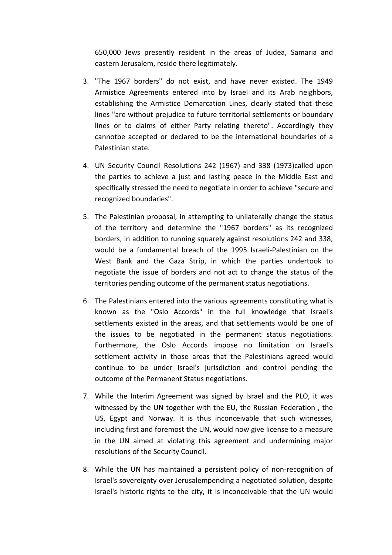650,000 Jews presently resident in the areas of Judea, Samaria and eastern Jerusalem, reside there legitimately.

- 3. "The 1967 borders" do not exist, and have never existed. The 1949 Armistice Agreements entered into by Israel and its Arab neighbors, establishing the Armistice Demarcation Lines, clearly stated that these lines "are without prejudice to future territorial settlements or boundary lines or to claims of either Party relating thereto". Accordingly they cannotbe accepted or declared to be the international boundaries of a Palestinian state.
- 4. UN Security Council Resolutions 242 (1967) and 338 (1973)called upon the parties to achieve a just and lasting peace in the Middle East and specifically stressed the need to negotiate in order to achieve "secure and recognized boundaries".
- 5. The Palestinian proposal, in attempting to unilaterally change the status of the territory and determine the "1967 borders" as its recognized borders, in addition to running squarely against resolutions 242 and 338, would be a fundamental breach of the 1995 Israeli-Palestinian on the West Bank and the Gaza Strip, in which the parties undertook to negotiate the issue of borders and not act to change the status of the territories pending outcome of the permanent status negotiations.
- 6. The Palestinians entered into the various agreements constituting what is known as the "Oslo Accords" in the full knowledge that Israel's settlements existed in the areas, and that settlements would be one of the issues to be negotiated in the permanent status negotiations. Furthermore, the Oslo Accords impose no limitation on Israel's settlement activity in those areas that the Palestinians agreed would continue to be under Israel's jurisdiction and control pending the outcome of the Permanent Status negotiations.
- 7. While the Interim Agreement was signed by Israel and the PLO, it was witnessed by the UN together with the EU, the Russian Federation , the US, Egypt and Norway. It is thus inconceivable that such witnesses, including first and foremost the UN, would now give license to a measure in the UN aimed at violating this agreement and undermining major resolutions of the Security Council.
- 8. While the UN has maintained a persistent policy of non-recognition of Israel's sovereignty over Jerusalempending a negotiated solution, despite Israel's historic rights to the city, it is inconceivable that the UN would